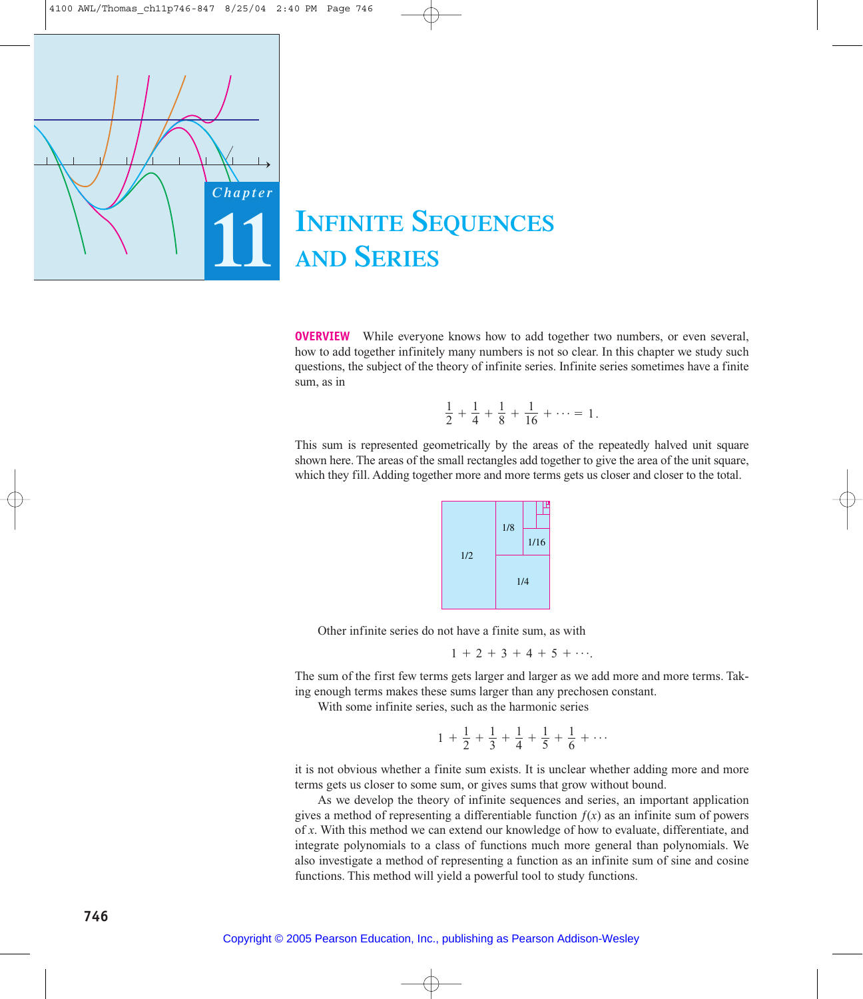

# **INFINITE SEQUENCES AND SERIES**

**OVERVIEW** While everyone knows how to add together two numbers, or even several, how to add together infinitely many numbers is not so clear. In this chapter we study such questions, the subject of the theory of infinite series. Infinite series sometimes have a finite sum, as in

$$
\frac{1}{2} + \frac{1}{4} + \frac{1}{8} + \frac{1}{16} + \cdots = 1.
$$

This sum is represented geometrically by the areas of the repeatedly halved unit square shown here. The areas of the small rectangles add together to give the area of the unit square, which they fill. Adding together more and more terms gets us closer and closer to the total.



Other infinite series do not have a finite sum, as with

 $1 + 2 + 3 + 4 + 5 + \cdots$ 

The sum of the first few terms gets larger and larger as we add more and more terms. Taking enough terms makes these sums larger than any prechosen constant.

With some infinite series, such as the harmonic series

$$
1 + \frac{1}{2} + \frac{1}{3} + \frac{1}{4} + \frac{1}{5} + \frac{1}{6} + \cdots
$$

it is not obvious whether a finite sum exists. It is unclear whether adding more and more terms gets us closer to some sum, or gives sums that grow without bound.

As we develop the theory of infinite sequences and series, an important application gives a method of representing a differentiable function  $f(x)$  as an infinite sum of powers of *x*. With this method we can extend our knowledge of how to evaluate, differentiate, and integrate polynomials to a class of functions much more general than polynomials. We also investigate a method of representing a function as an infinite sum of sine and cosine functions. This method will yield a powerful tool to study functions.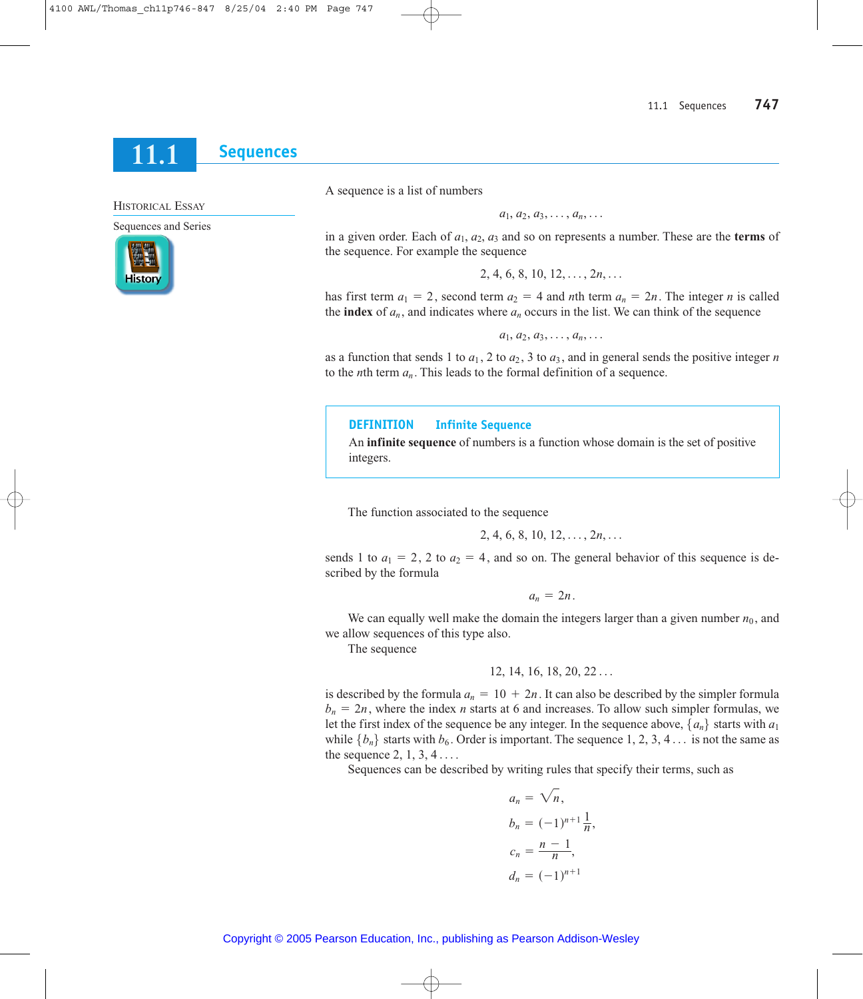#### **Sequences** 11.1

**HISTORICAL ESSAY** 

Sequences and Series



A sequence is a list of numbers

 $a_1, a_2, a_3, \ldots, a_n, \ldots$ 

in a given order. Each of  $a_1$ ,  $a_2$ ,  $a_3$  and so on represents a number. These are the **terms** of the sequence. For example the sequence

 $2, 4, 6, 8, 10, 12, \ldots, 2n, \ldots$ 

has first term  $a_1 = 2$ , second term  $a_2 = 4$  and *n*th term  $a_n = 2n$ . The integer *n* is called the **index** of  $a_n$ , and indicates where  $a_n$  occurs in the list. We can think of the sequence

 $a_1, a_2, a_3, \ldots, a_n, \ldots$ 

as a function that sends 1 to  $a_1$ , 2 to  $a_2$ , 3 to  $a_3$ , and in general sends the positive integer n to the *n*th term  $a_n$ . This leads to the formal definition of a sequence.

#### **DEFINITION Infinite Sequence**

An **infinite sequence** of numbers is a function whose domain is the set of positive integers.

The function associated to the sequence

$$
2, 4, 6, 8, 10, 12, \ldots, 2n, \ldots
$$

sends 1 to  $a_1 = 2$ , 2 to  $a_2 = 4$ , and so on. The general behavior of this sequence is described by the formula

 $a_n = 2n$ .

We can equally well make the domain the integers larger than a given number  $n_0$ , and we allow sequences of this type also.

The sequence

is described by the formula  $a_n = 10 + 2n$ . It can also be described by the simpler formula  $b_n = 2n$ , where the index *n* starts at 6 and increases. To allow such simpler formulas, we let the first index of the sequence be any integer. In the sequence above,  $\{a_n\}$  starts with  $a_1$ while  $\{b_n\}$  starts with  $b_6$ . Order is important. The sequence 1, 2, 3, 4... is not the same as the sequence  $2, 1, 3, 4 \ldots$ 

Sequences can be described by writing rules that specify their terms, such as

$$
a_n = \sqrt{n},
$$
  
\n
$$
b_n = (-1)^{n+1} \frac{1}{n},
$$
  
\n
$$
c_n = \frac{n-1}{n},
$$
  
\n
$$
d_n = (-1)^{n+1}
$$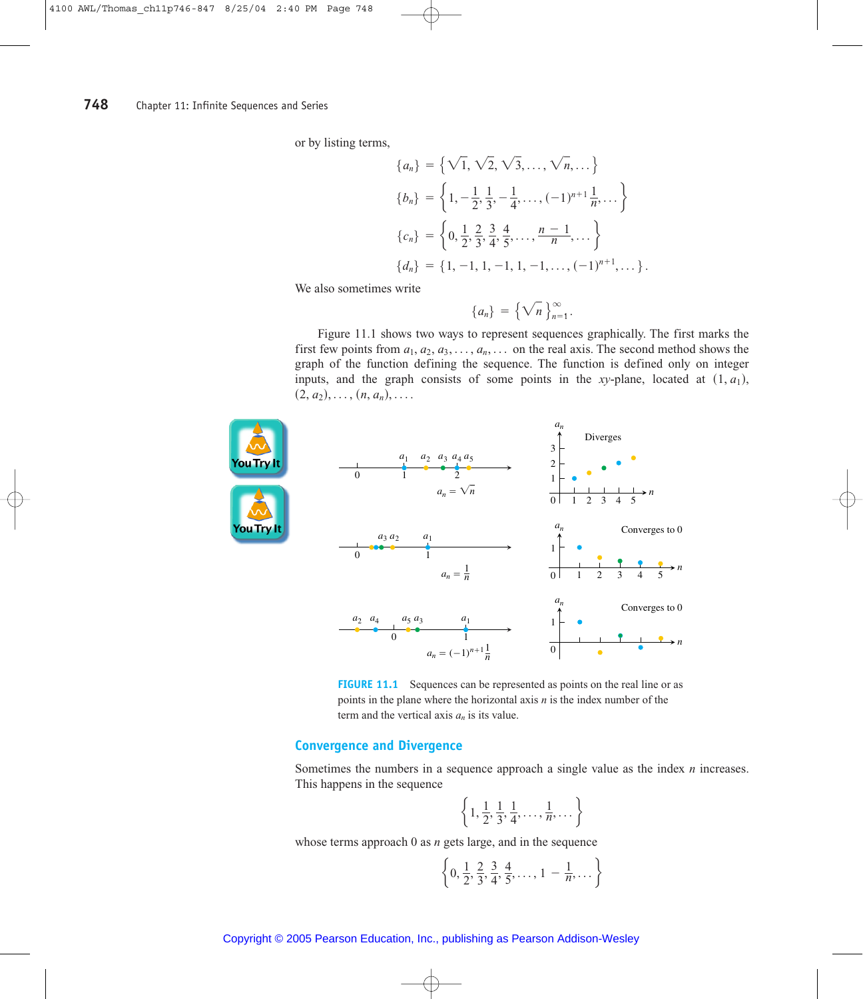or by listing terms,

$$
\{a_n\} = \left\{ \sqrt{1}, \sqrt{2}, \sqrt{3}, \dots, \sqrt{n}, \dots \right\}
$$

$$
\{b_n\} = \left\{ 1, -\frac{1}{2}, \frac{1}{3}, -\frac{1}{4}, \dots, (-1)^{n+1} \frac{1}{n}, \dots \right\}
$$

$$
\{c_n\} = \left\{ 0, \frac{1}{2}, \frac{2}{3}, \frac{3}{4}, \frac{4}{5}, \dots, \frac{n-1}{n}, \dots \right\}
$$

$$
\{d_n\} = \{1, -1, 1, -1, 1, -1, \dots, (-1)^{n+1}, \dots \}.
$$

We also sometimes write

$$
\{a_n\} = \left\{\sqrt{n}\right\}_{n=1}^\infty
$$

Figure 11.1 shows two ways to represent sequences graphically. The first marks the first few points from  $a_1, a_2, a_3, \ldots, a_n, \ldots$  on the real axis. The second method shows the graph of the function defining the sequence. The function is defined only on integer inputs, and the graph consists of some points in the xy-plane, located at  $(1, a_1)$ ,  $(2, a_2), \ldots, (n, a_n), \ldots$ 



**FIGURE 11.1** Sequences can be represented as points on the real line or as points in the plane where the horizontal axis  $n$  is the index number of the term and the vertical axis  $a_n$  is its value.

# **Convergence and Divergence**

Sometimes the numbers in a sequence approach a single value as the index  $n$  increases. This happens in the sequence

$$
\left\{1,\frac{1}{2},\frac{1}{3},\frac{1}{4},\ldots,\frac{1}{n},\ldots\right\}
$$

whose terms approach  $0$  as  $n$  gets large, and in the sequence

$$
\left\{0, \frac{1}{2}, \frac{2}{3}, \frac{3}{4}, \frac{4}{5}, \dots, 1 - \frac{1}{n}, \dots\right\}
$$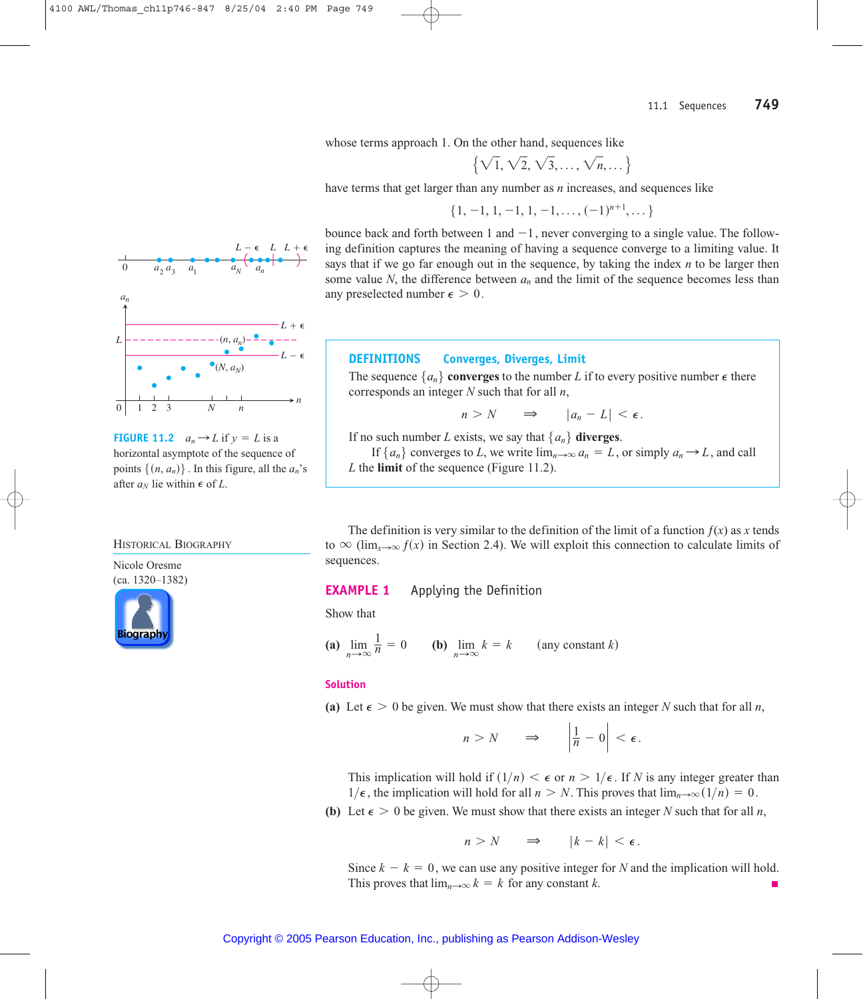whose terms approach 1. On the other hand, sequences like

$$
\left\{\sqrt{1},\sqrt{2},\sqrt{3},\ldots,\sqrt{n},\ldots\right\}
$$

have terms that get larger than any number as *n* increases, and sequences like

$$
\{1,-1,1,-1,1,-1,\ldots,(-1)^{n+1},\ldots\}
$$

bounce back and forth between 1 and  $-1$ , never converging to a single value. The following definition captures the meaning of having a sequence converge to a limiting value. It says that if we go far enough out in the sequence, by taking the index *n* to be larger then some value N, the difference between  $a_n$  and the limit of the sequence becomes less than any preselected number  $\epsilon > 0$ .

# **DEFINITIONS Converges, Diverges, Limit**

The sequence  $\{a_n\}$  converges to the number *L* if to every positive number  $\epsilon$  there corresponds an integer *N* such that for all *n*,

$$
n > N \qquad \Rightarrow \qquad |a_n - L| < \epsilon.
$$

If no such number *L* exists, we say that  $\{a_n\}$  **diverges**.

If  $\{a_n\}$  converges to *L*, we write  $\lim_{n\to\infty} a_n = L$ , or simply  $a_n \to L$ , and call *L* the **limit** of the sequence (Figure 11.2).

The definition is very similar to the definition of the limit of a function  $f(x)$  as  $x$  tends to  $\infty$  (lim<sub>x→ $\infty$ </sub>  $f(x)$  in Section 2.4). We will exploit this connection to calculate limits of sequences.

### **EXAMPLE 1** Applying the Definition

Show that

(a) 
$$
\lim_{n \to \infty} \frac{1}{n} = 0
$$
 (b)  $\lim_{n \to \infty} k = k$  (any constant k)

#### **Solution**

(a) Let  $\epsilon > 0$  be given. We must show that there exists an integer *N* such that for all *n*,

$$
n > N \qquad \Rightarrow \qquad \left| \frac{1}{n} - 0 \right| < \epsilon.
$$

This implication will hold if  $(1/n) < \epsilon$  or  $n > 1/\epsilon$ . If *N* is any integer greater than  $1/\epsilon$ , the implication will hold for all  $n > N$ . This proves that  $\lim_{n\to\infty} (1/n) = 0$ .

**(b)** Let  $\epsilon > 0$  be given. We must show that there exists an integer *N* such that for all *n*,

$$
n > N \qquad \Rightarrow \qquad |k - k| < \epsilon.
$$

Since  $k - k = 0$ , we can use any positive integer for *N* and the implication will hold. This proves that  $\lim_{n\to\infty} k = k$  for any constant k.





**FIGURE 11.2**  $a_n \rightarrow L$  if  $y = L$  is a horizontal asymptote of the sequence of points  $\{(n, a_n)\}\$ . In this figure, all the  $a_n$ 's

after  $a_N$  lie within  $\epsilon$  of *L*.



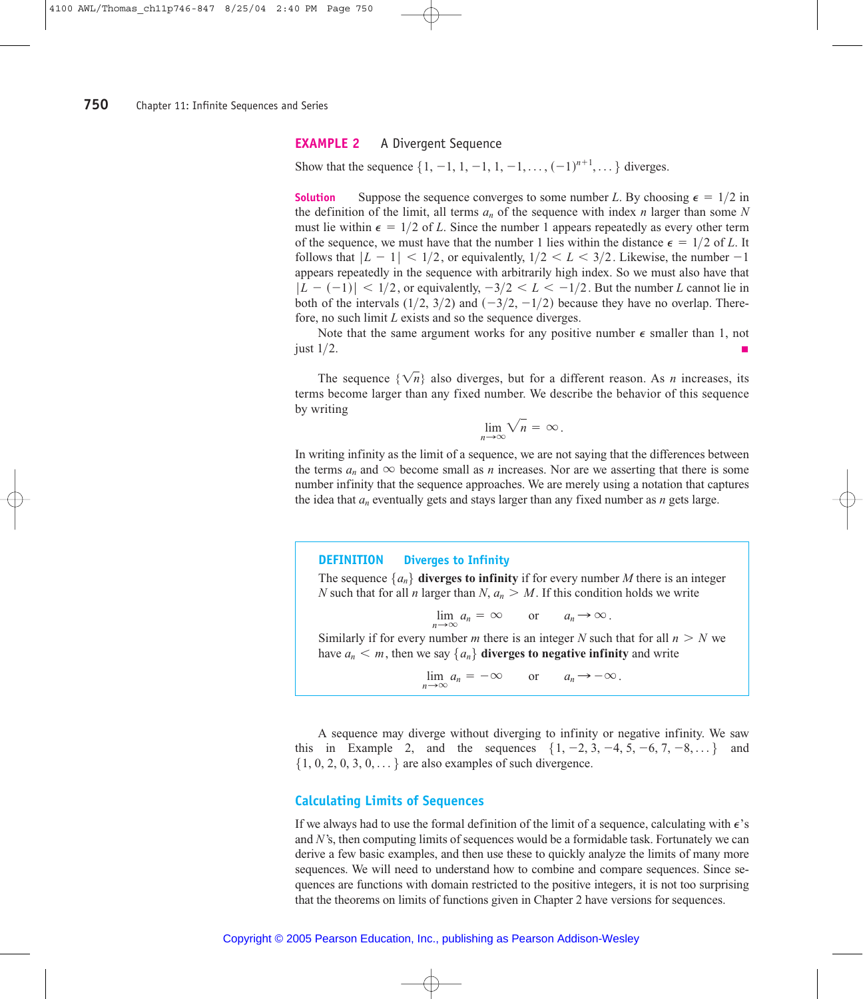# **EXAMPLE 2** A Divergent Sequence

Show that the sequence  $\{1, -1, 1, -1, 1, -1, \ldots, (-1)^{n+1}, \ldots\}$  diverges.

**Solution** Suppose the sequence converges to some number *L*. By choosing  $\epsilon = 1/2$  in the definition of the limit, all terms  $a_n$  of the sequence with index *n* larger than some *N* must lie within  $\epsilon = 1/2$  of L. Since the number 1 appears repeatedly as every other term of the sequence, we must have that the number 1 lies within the distance  $\epsilon = 1/2$  of L. It follows that  $|L - 1| < 1/2$ , or equivalently,  $1/2 < L < 3/2$ . Likewise, the number  $-1$ appears repeatedly in the sequence with arbitrarily high index. So we must also have that  $|L - (-1)| < 1/2$ , or equivalently,  $-3/2 < L < -1/2$ . But the number *L* cannot lie in both of the intervals  $(1/2, 3/2)$  and  $(-3/2, -1/2)$  because they have no overlap. Therefore, no such limit *L* exists and so the sequence diverges.

Note that the same argument works for any positive number  $\epsilon$  smaller than 1, not just 1/2.

The sequence  $\{\sqrt{n}\}\$  also diverges, but for a different reason. As *n* increases, its terms become larger than any fixed number. We describe the behavior of this sequence by writing

$$
\lim_{n\to\infty}\sqrt{n}=\infty.
$$

In writing infinity as the limit of a sequence, we are not saying that the differences between the terms  $a_n$  and  $\infty$  become small as *n* increases. Nor are we asserting that there is some number infinity that the sequence approaches. We are merely using a notation that captures the idea that  $a_n$  eventually gets and stays larger than any fixed number as  $n$  gets large.

### **DEFINITION Diverges to Infinity**

The sequence  $\{a_n\}$  **diverges to infinity** if for every number *M* there is an integer *N* such that for all *n* larger than  $N$ ,  $a_n > M$ . If this condition holds we write

$$
\lim_{n \to \infty} a_n = \infty \quad \text{or} \quad a_n \to \infty.
$$

Similarly if for every number *m* there is an integer *N* such that for all  $n > N$  we have  $a_n < m$ , then we say  $\{a_n\}$  **diverges to negative infinity** and write

 $\lim_{n \to \infty} a_n = -\infty$  or  $a_n \to -\infty$ .

A sequence may diverge without diverging to infinity or negative infinity. We saw this in Example 2, and the sequences  $\{1, -2, 3, -4, 5, -6, 7, -8, ...\}$  and  $\{1, 0, 2, 0, 3, 0, \dots\}$  are also examples of such divergence.

# **Calculating Limits of Sequences**

If we always had to use the formal definition of the limit of a sequence, calculating with  $\epsilon$ 's and *N*'s, then computing limits of sequences would be a formidable task. Fortunately we can derive a few basic examples, and then use these to quickly analyze the limits of many more sequences. We will need to understand how to combine and compare sequences. Since sequences are functions with domain restricted to the positive integers, it is not too surprising that the theorems on limits of functions given in Chapter 2 have versions for sequences.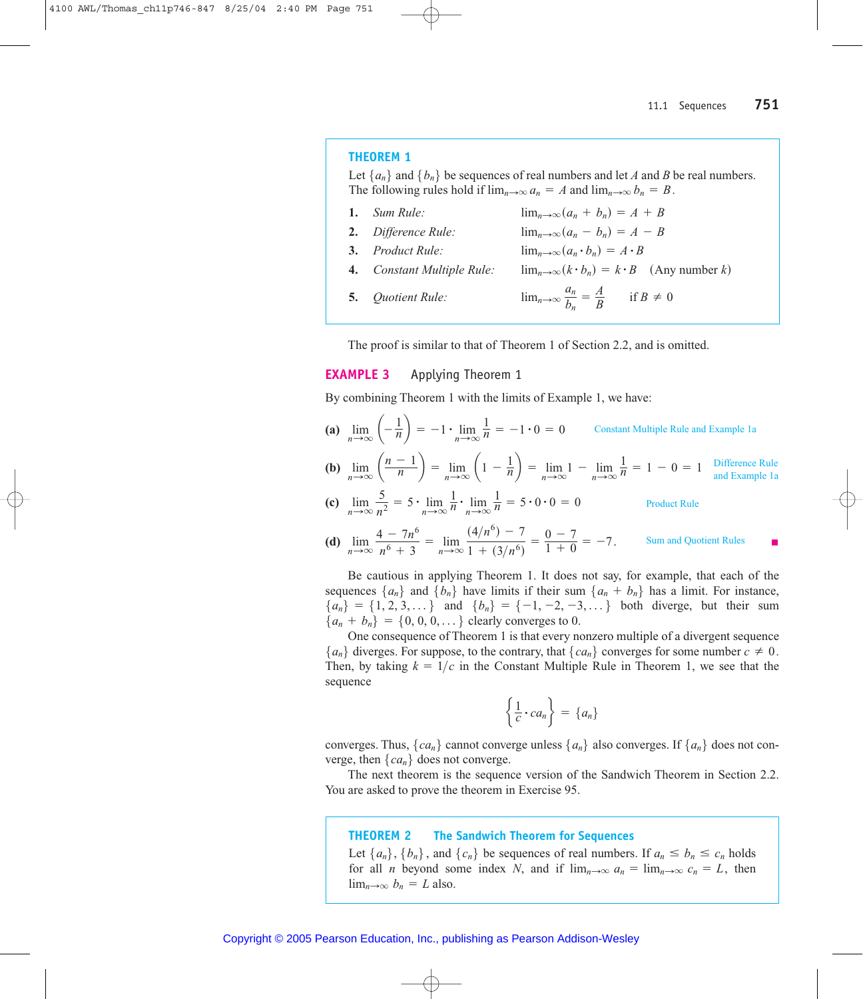### **THEOREM 1**

Let  $\{a_n\}$  and  $\{b_n\}$  be sequences of real numbers and let A and B be real numbers. The following rules hold if  $\lim_{n\to\infty} a_n = A$  and  $\lim_{n\to\infty} b_n = B$ .

| 1. $Sum Rule:$                    | $\lim_{n\to\infty}(a_n+b_n)=A+B$                             |
|-----------------------------------|--------------------------------------------------------------|
| <b>2.</b> Difference Rule:        | $\lim_{n\to\infty}(a_n - b_n) = A - B$                       |
| 3. Product Rule:                  | $\lim_{n\to\infty}(a_n \cdot b_n) = A \cdot B$               |
| <b>4.</b> Constant Multiple Rule: | $\lim_{n\to\infty} (k \cdot b_n) = k \cdot B$ (Any number k) |
| <b>5.</b> Quotient Rule:          | $\lim_{n\to\infty}\frac{a_n}{b_n}=\frac{A}{B}$ if $B\neq 0$  |

The proof is similar to that of Theorem 1 of Section 2.2, and is omitted.

#### **EXAMPLE 3** Applying Theorem 1

By combining Theorem 1 with the limits of Example 1, we have:

- (a)  $\lim_{n \to \infty} \left( -\frac{1}{n} \right) = -1 \cdot \lim_{n \to \infty} \frac{1}{n} = -1 \cdot 0 = 0$  Constant Multiple Rule and Example 1a
- **(b)**  $\lim_{n \to \infty} \left( \frac{n-1}{n} \right) = \lim_{n \to \infty} \left( 1 \frac{1}{n} \right) = \lim_{n \to \infty} 1 \lim_{n \to \infty} \frac{1}{n} = 1 0 = 1$  Difference Rule
- (c)  $\lim_{n \to \infty} \frac{5}{n^2} = 5 \cdot \lim_{n \to \infty} \frac{1}{n} \cdot \lim_{n \to \infty} \frac{1}{n} = 5 \cdot 0 \cdot 0 = 0$ **Product Rule**
- (d)  $\lim_{n \to \infty} \frac{4 7n^6}{n^6 + 3} = \lim_{n \to \infty} \frac{(4/n^6) 7}{1 + (3/n^6)} = \frac{0 7}{1 + 0} = -7.$ Sum and Quotient Rules

Be cautious in applying Theorem 1. It does not say, for example, that each of the sequences  $\{a_n\}$  and  $\{b_n\}$  have limits if their sum  $\{a_n + b_n\}$  has a limit. For instance,  ${a_n} = \{1, 2, 3, ...\}$  and  ${b_n} = \{-1, -2, -3, ...\}$  both diverge, but their sum  ${a_n + b_n} = {0, 0, 0, \dots}$  clearly converges to 0.

One consequence of Theorem 1 is that every nonzero multiple of a divergent sequence  ${a_n}$  diverges. For suppose, to the contrary, that  ${ca_n}$  converges for some number  $c \neq 0$ . Then, by taking  $k = 1/c$  in the Constant Multiple Rule in Theorem 1, we see that the sequence

$$
\left\{\frac{1}{c}\cdot ca_n\right\} = \left\{a_n\right\}
$$

converges. Thus,  $\{ca_n\}$  cannot converge unless  $\{a_n\}$  also converges. If  $\{a_n\}$  does not converge, then  $\{ca_n\}$  does not converge.

The next theorem is the sequence version of the Sandwich Theorem in Section 2.2. You are asked to prove the theorem in Exercise 95.

#### **THEOREM 2 The Sandwich Theorem for Sequences**

Let  $\{a_n\}$ ,  $\{b_n\}$ , and  $\{c_n\}$  be sequences of real numbers. If  $a_n \leq b_n \leq c_n$  holds for all *n* beyond some index *N*, and if  $\lim_{n\to\infty} a_n = \lim_{n\to\infty} c_n = L$ , then  $\lim_{n\to\infty} b_n = L$  also.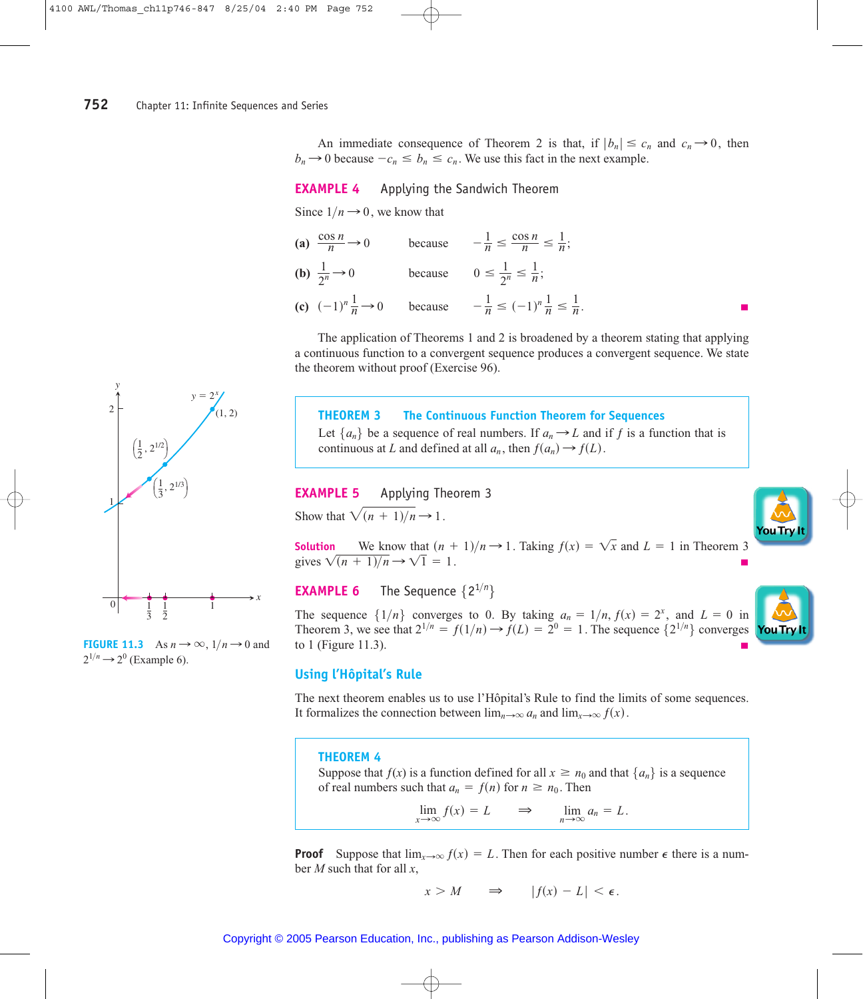An immediate consequence of Theorem 2 is that, if  $|b_n| \le c_n$  and  $c_n \to 0$ , then  $b_n \rightarrow 0$  because  $-c_n \leq b_n \leq c_n$ . We use this fact in the next example.

# **EXAMPLE 4** Applying the Sandwich Theorem

Since  $1/n \rightarrow 0$ , we know that

(a) 
$$
\frac{\cos n}{n} \to 0
$$
 because  $-\frac{1}{n} \le \frac{\cos n}{n} \le \frac{1}{n}$ ;  
\n(b)  $\frac{1}{2^n} \to 0$  because  $0 \le \frac{1}{2^n} \le \frac{1}{n}$ ;  
\n(c)  $(-1)^n \frac{1}{n} \to 0$  because  $-\frac{1}{n} \le (-1)^n \frac{1}{n} \le \frac{1}{n}$ .

The application of Theorems 1 and 2 is broadened by a theorem stating that applying a continuous function to a convergent sequence produces a convergent sequence. We state the theorem without proof (Exercise 96).

# **THEOREM 3 The Continuous Function Theorem for Sequences**

Let  $\{a_n\}$  be a sequence of real numbers. If  $a_n \rightarrow L$  and if *f* is a function that is continuous at *L* and defined at all  $a_n$ , then  $f(a_n) \rightarrow f(L)$ .

**EXAMPLE 5** Applying Theorem 3 Show that  $\sqrt{(n+1)/n} \rightarrow 1$ .

**Solution** We know that  $(n + 1)/n \rightarrow 1$ . Taking  $f(x) = \sqrt{x}$  and  $L = 1$  in Theorem 3 gives  $\sqrt{(n+1)/n} \rightarrow \sqrt{1} = 1$ .

**EXAMPLE 6** The Sequence  $\{2^{1/n}\}\$ 

The sequence  $\{1/n\}$  converges to 0. By taking  $a_n = 1/n$ ,  $f(x) = 2^x$ , and  $L = 0$  in Theorem 3, we see that  $2^{1/n} = f(1/n) \rightarrow f(L) = 2^0 = 1$ . The sequence  $\{2^{1/n}\}\$  converges to 1 (Figure 11.3).



# **Using l'Hôpital's Rule**

The next theorem enables us to use l'Hôpital's Rule to find the limits of some sequences. It formalizes the connection between  $\lim_{n\to\infty} a_n$  and  $\lim_{x\to\infty} f(x)$ .

# **THEOREM 4**

Suppose that  $f(x)$  is a function defined for all  $x \ge n_0$  and that  $\{a_n\}$  is a sequence of real numbers such that  $a_n = f(n)$  for  $n \ge n_0$ . Then

 $\lim_{x \to \infty} f(x) = L \implies \lim_{n \to \infty} a_n = L.$ 

**Proof** Suppose that  $\lim_{x\to\infty} f(x) = L$ . Then for each positive number  $\epsilon$  there is a number *M* such that for all *x*,

$$
x > M \qquad \Rightarrow \qquad |f(x) - L| < \epsilon.
$$



**FIGURE 11.3** As  $n \to \infty$ ,  $1/n \to 0$  and  $2^{1/n} \rightarrow 2^0$  (Example 6).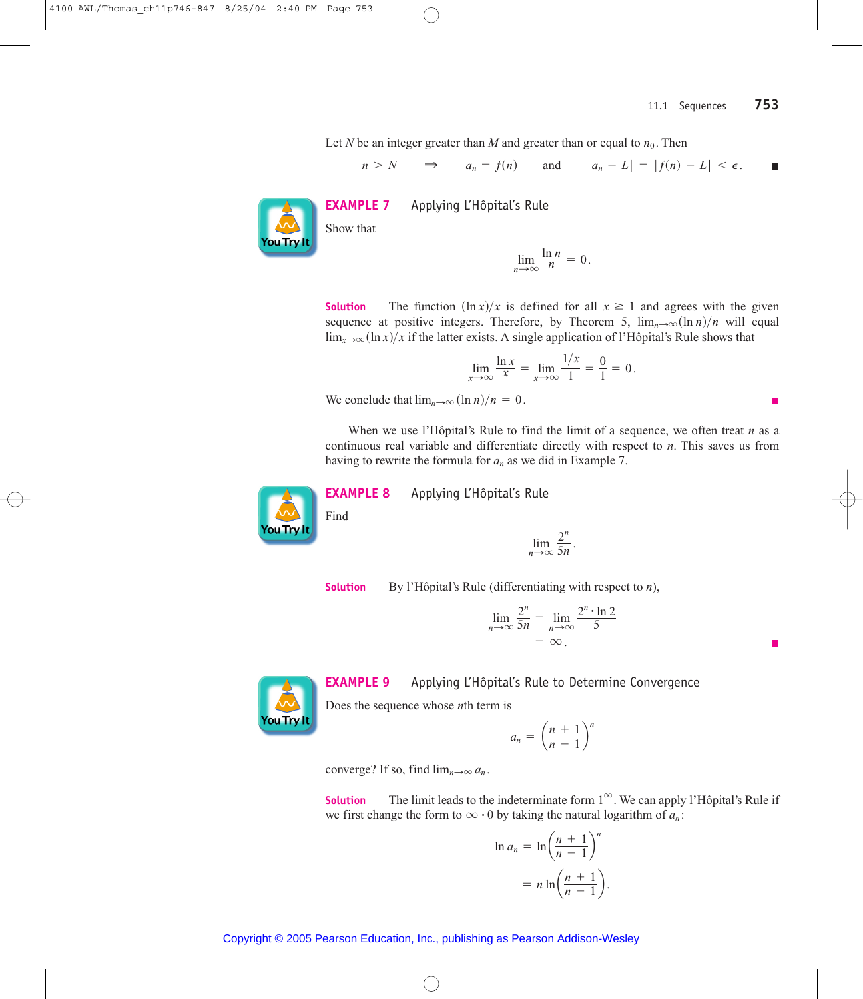п

Let *N* be an integer greater than *M* and greater than or equal to  $n_0$ . Then

$$
n > N
$$
  $\Rightarrow$   $a_n = f(n)$  and  $|a_n - L| = |f(n) - L| < \epsilon$ .



**EXAMPLE 7** Applying L'Hôpital's Rule

$$
\lim_{n\to\infty}\frac{\ln n}{n}=0.
$$

**Solution** The function  $(\ln x)/x$  is defined for all  $x \ge 1$  and agrees with the given sequence at positive integers. Therefore, by Theorem 5,  $\lim_{n\to\infty} (\ln n)/n$  will equal  $\lim_{x\to\infty} (\ln x)/x$  if the latter exists. A single application of l'Hôpital's Rule shows that

$$
\lim_{x \to \infty} \frac{\ln x}{x} = \lim_{x \to \infty} \frac{1/x}{1} = \frac{0}{1} = 0.
$$

We conclude that  $\lim_{n\to\infty} (\ln n)/n = 0$ .

When we use l'Hôpital's Rule to find the limit of a sequence, we often treat *n* as a continuous real variable and differentiate directly with respect to *n*. This saves us from having to rewrite the formula for  $a_n$  as we did in Example 7.



**EXAMPLE 8** Applying L'Hôpital's Rule

$$
\lim_{n\to\infty}\frac{2^n}{5n}.
$$

**Solution** By l'Hôpital's Rule (differentiating with respect to *n*),

 $n<sub>i</sub>$ 

$$
\lim_{n \to \infty} \frac{2^n}{5n} = \lim_{n \to \infty} \frac{2^n \cdot \ln 2}{5}
$$

$$
= \infty.
$$



**EXAMPLE 9** Applying L'Hôpital's Rule to Determine Convergence

Does the sequence whose *n*th term is

$$
a_n = \left(\frac{n+1}{n-1}\right)^n
$$

converge? If so, find  $\lim_{n\to\infty} a_n$ .

**Solution** The limit leads to the indeterminate form  $1^\infty$ . We can apply l'Hôpital's Rule if **Solution** I he limit leads to the indeterminate form  $I^*$ . We can apply we first change the form to  $\infty \cdot 0$  by taking the natural logarithm of  $a_n$ :

$$
\ln a_n = \ln \left( \frac{n+1}{n-1} \right)^n
$$
  
= 
$$
n \ln \left( \frac{n+1}{n-1} \right).
$$

Copyright © 2005 Pearson Education, Inc., publishing as Pearson Addison-Wesley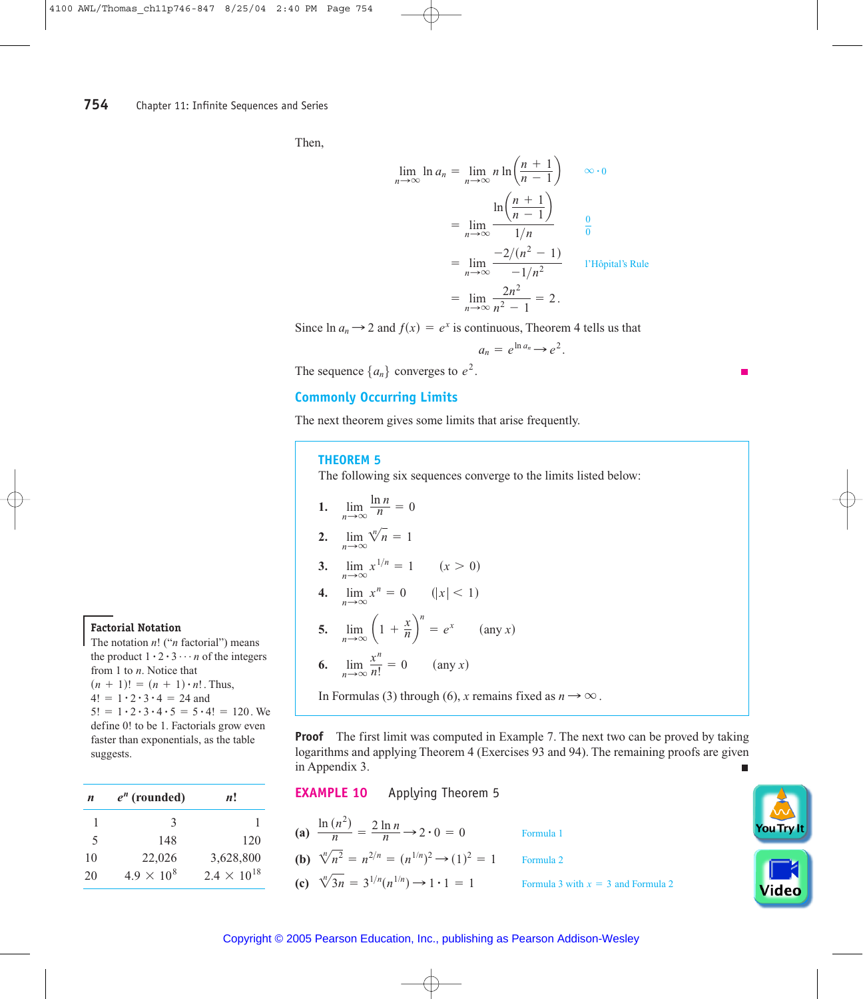Then,

$$
\lim_{n \to \infty} \ln a_n = \lim_{n \to \infty} n \ln \left( \frac{n+1}{n-1} \right) \qquad \infty \cdot 0
$$

$$
= \lim_{n \to \infty} \frac{\ln \left( \frac{n+1}{n-1} \right)}{1/n} \qquad \frac{0}{0}
$$

$$
= \lim_{n \to \infty} \frac{-2/(n^2 - 1)}{-1/n^2} \qquad \text{l'Hôpital's Rule}
$$

$$
= \lim_{n \to \infty} \frac{2n^2}{n^2 - 1} = 2.
$$

Since  $\ln a_n \rightarrow 2$  and  $f(x) = e^x$  is continuous, Theorem 4 tells us that

$$
a_n = e^{\ln a_n} \rightarrow e^2.
$$

The sequence  $\{a_n\}$  converges to  $e^2$ .

# **Commonly Occurring Limits**

The next theorem gives some limits that arise frequently.

# **THEOREM 5**

The following six sequences converge to the limits listed below:

**1. 2.**  $\lim_{n \to \infty} \sqrt[n]{n} = 1$ **3. 4. 5. 6.**  $\lim_{n\to\infty}$  $\frac{x^n}{n!} = 0$  (any *x*)  $\lim_{n\to\infty}$   $\left(1 + \frac{x}{n}\right)$  $n = e^x$  (any *x*)  $\lim_{n \to \infty} x^n = 0$  (|x| < 1)  $\lim_{n \to \infty} x^{1/n} = 1$   $(x > 0)$  $\lim_{n\to\infty}$  $\frac{\ln n}{n} = 0$ 

In Formulas (3) through (6), *x* remains fixed as  $n \rightarrow \infty$ .

**Proof** The first limit was computed in Example 7. The next two can be proved by taking logarithms and applying Theorem 4 (Exercises 93 and 94). The remaining proofs are given in Appendix 3. г

**EXAMPLE 10** Applying Theorem 5

(a) 
$$
\frac{\ln(n^2)}{n} = \frac{2 \ln n}{n} \rightarrow 2 \cdot 0 = 0
$$

**(b)** 
$$
\sqrt[n]{n^2} = n^{2/n} = (n^{1/n})^2 \rightarrow (1)^2 = 1
$$
 Formula 2

**(c)**  $\sqrt[n]{3n} = 3^{1/n}(n^{1/n}) \rightarrow 1 \cdot 1 = 1$  Formula 3 with  $x = 3$  and Formula 2

**(a)** Formula 1



### Copyright © 2005 Pearson Education, Inc., publishing as Pearson Addison-Wesley

**Factorial Notation**

The notation *n*! ("*n* factorial") means The notation *n*! (*n* actorial *n*) means<br>the product  $1 \cdot 2 \cdot 3 \cdots n$  of the integers from 1 to *n*. Notice that from 1 to *n*. Notice that<br> $(n + 1)! = (n + 1) \cdot n!$ . Thus,  $(n + 1)! = (n + 1) \cdot n!.$ <br>  $4! = 1 \cdot 2 \cdot 3 \cdot 4 = 24$  and  $4! = 1 \cdot 2 \cdot 3 \cdot 4 = 24$  and<br>5! =  $1 \cdot 2 \cdot 3 \cdot 4 \cdot 5 = 5 \cdot 4! = 120$ . We define 0! to be 1. Factorials grow even faster than exponentials, as the table suggests.

| n                        | $e^n$ (rounded)     | n!                   |
|--------------------------|---------------------|----------------------|
| 1                        | $\mathbf{3}$        |                      |
| $\overline{\mathcal{L}}$ | 148                 | 120                  |
| 10                       | 22,026              | 3,628,800            |
| 20                       | $4.9 \times 10^{8}$ | $2.4 \times 10^{18}$ |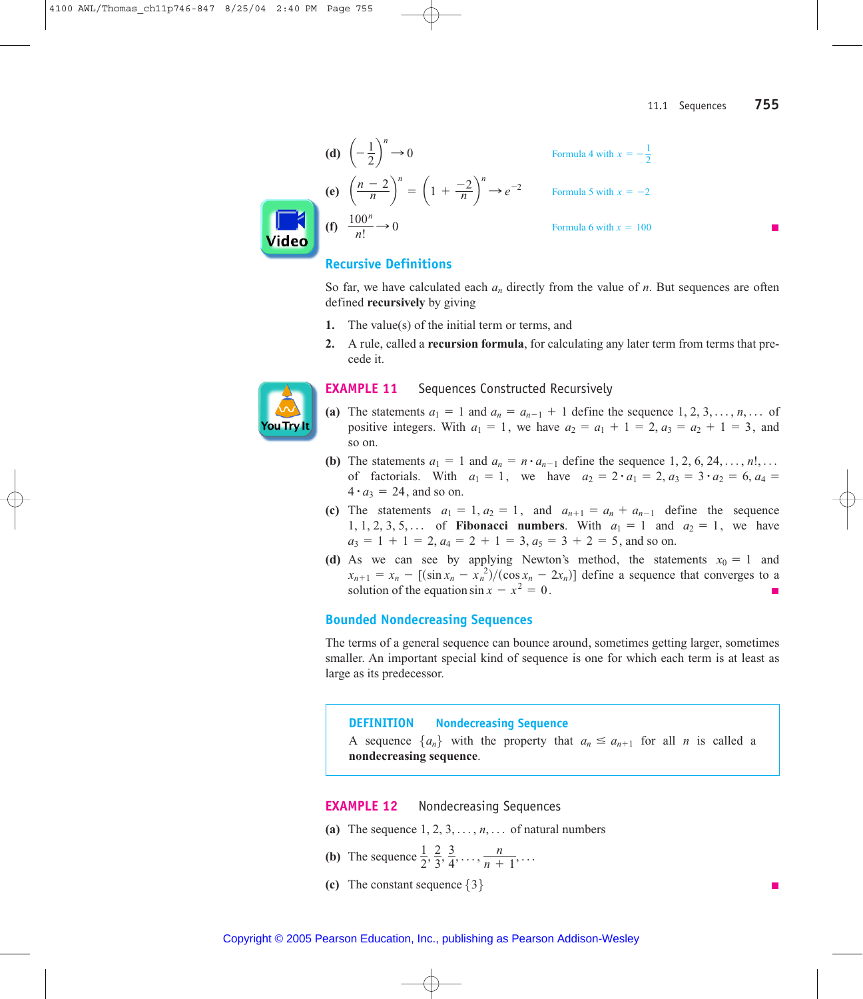(d) 
$$
\left(-\frac{1}{2}\right)^n \to 0
$$
  
\n(e)  $\left(\frac{n-2}{n}\right)^n = \left(1 + \frac{-2}{n}\right)^n \to e^{-2}$   
\nFor mula 4 with  $x = -\frac{1}{2}$   
\n(c)  $\left(\frac{n-2}{n}\right)^n = \left(1 + \frac{-2}{n}\right)^n \to e^{-2}$   
\nFormula 5 with  $x = -2$   
\nFormula 6 with  $x = 100$ 



# **Recursive Definitions**

So far, we have calculated each  $a_n$  directly from the value of n. But sequences are often defined **recursively** by giving

- 1. The value(s) of the initial term or terms, and
- 2. A rule, called a **recursion formula**, for calculating any later term from terms that precede it.



#### **EXAMPLE 11** Sequences Constructed Recursively

- (a) The statements  $a_1 = 1$  and  $a_n = a_{n-1} + 1$  define the sequence  $1, 2, 3, ..., n, ...$  of positive integers. With  $a_1 = 1$ , we have  $a_2 = a_1 + 1 = 2$ ,  $a_3 = a_2 + 1 = 3$ , and so on.
- (b) The statements  $a_1 = 1$  and  $a_n = n \cdot a_{n-1}$  define the sequence 1, 2, 6, 24, ..., n!, ... of factorials. With  $a_1 = 1$ , we have  $a_2 = 2 \cdot a_1 = 2$ ,  $a_3 = 3 \cdot a_2 = 6$ ,  $a_4 =$  $4 \cdot a_3 = 24$ , and so on.
- (c) The statements  $a_1 = 1, a_2 = 1$ , and  $a_{n+1} = a_n + a_{n-1}$  define the sequence 1, 1, 2, 3, 5,... of **Fibonacci numbers**. With  $a_1 = 1$  and  $a_2 = 1$ , we have  $a_3 = 1 + 1 = 2$ ,  $a_4 = 2 + 1 = 3$ ,  $a_5 = 3 + 2 = 5$ , and so on.
- (d) As we can see by applying Newton's method, the statements  $x_0 = 1$  and  $x_{n+1} = x_n - \left[ (\sin x_n - x_n^2) / (\cos x_n - 2x_n) \right]$  define a sequence that converges to a solution of the equation  $\sin x - x^2 = 0$ .

# **Bounded Nondecreasing Sequences**

The terms of a general sequence can bounce around, sometimes getting larger, sometimes smaller. An important special kind of sequence is one for which each term is at least as large as its predecessor.

#### **Nondecreasing Sequence DEFINITION**

A sequence  $\{a_n\}$  with the property that  $a_n \le a_{n+1}$  for all *n* is called a nondecreasing sequence.

#### **EXAMPLE 12** Nondecreasing Sequences

- (a) The sequence  $1, 2, 3, \ldots, n, \ldots$  of natural numbers
- (**b**) The sequence  $\frac{1}{2}, \frac{2}{3}, \frac{3}{4}, \ldots, \frac{n}{n+1}, \ldots$
- (c) The constant sequence  $\{3\}$